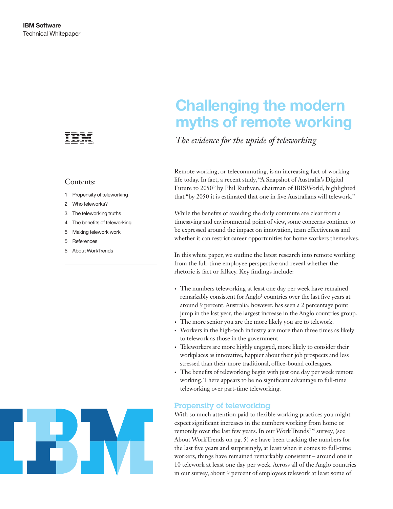

#### Contents:

- 1 Propensity of teleworking
- 2 Who teleworks?
- 3 The teleworking truths
- 4 The benefits of teleworking
- 5 Making telework work
- 5 References
- 5 About WorkTrends

# Challenging the modern myths of remote working

*The evidence for the upside of teleworking*

Remote working, or telecommuting, is an increasing fact of working life today. In fact, a recent study, "A Snapshot of Australia's Digital Future to 2050" by Phil Ruthven, chairman of IBISWorld, highlighted that "by 2050 it is estimated that one in five Australians will telework."

While the benefits of avoiding the daily commute are clear from a timesaving and environmental point of view, some concerns continue to be expressed around the impact on innovation, team effectiveness and whether it can restrict career opportunities for home workers themselves.

In this white paper, we outline the latest research into remote working from the full-time employee perspective and reveal whether the rhetoric is fact or fallacy. Key findings include:

- • The numbers teleworking at least one day per week have remained remarkably consistent for Anglo<sup>1</sup> countries over the last five years at around 9 percent. Australia; however, has seen a 2 percentage point jump in the last year, the largest increase in the Anglo countries group.
- • The more senior you are the more likely you are to telework.
- Workers in the high-tech industry are more than three times as likely to telework as those in the government.
- Teleworkers are more highly engaged, more likely to consider their workplaces as innovative, happier about their job prospects and less stressed than their more traditional, office-bound colleagues.
- The benefits of teleworking begin with just one day per week remote working. There appears to be no significant advantage to full-time teleworking over part-time teleworking.

## Propensity of teleworking

With so much attention paid to flexible working practices you might expect significant increases in the numbers working from home or remotely over the last few years. In our WorkTrends™ survey, (see About WorkTrends on pg. 5) we have been tracking the numbers for the last five years and surprisingly, at least when it comes to full-time workers, things have remained remarkably consistent – around one in 10 telework at least one day per week. Across all of the Anglo countries in our survey, about 9 percent of employees telework at least some of

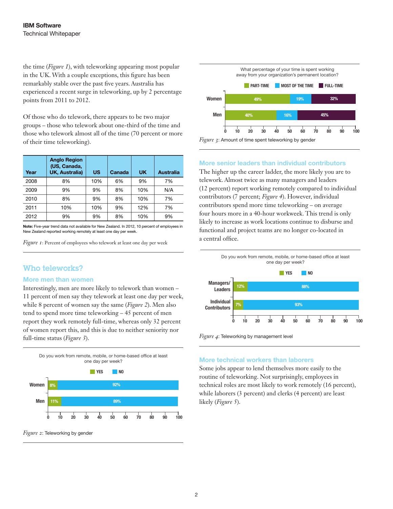the time (*Figure 1*), with teleworking appearing most popular in the UK. With a couple exceptions, this figure has been remarkably stable over the past five years. Australia has experienced a recent surge in teleworking, up by 2 percentage points from 2011 to 2012.

Of those who do telework, there appears to be two major groups – those who telework about one-third of the time and those who telework almost all of the time (70 percent or more of their time teleworking).

| Year | <b>Anglo Region</b><br>(US, Canada,<br><b>UK, Australia)</b> | US  | Canada | <b>UK</b> | Australia |
|------|--------------------------------------------------------------|-----|--------|-----------|-----------|
| 2008 | 8%                                                           | 10% | 6%     | 9%        | 7%        |
| 2009 | 9%                                                           | 9%  | 8%     | 10%       | N/A       |
| 2010 | 8%                                                           | 9%  | 8%     | 10%       | 7%        |
| 2011 | 10%                                                          | 10% | 9%     | 12%       | 7%        |
| 2012 | 9%                                                           | 9%  | 8%     | 10%       | 9%        |

Note: Five-year trend data not available for New Zealand. In 2012, 10 percent of employees in New Zealand reported working remotely at least one day per week.

*Figure 1*: Percent of employees who telework at least one day per week

## Who teleworks?

#### More men than women

Interestingly, men are more likely to telework than women – 11 percent of men say they telework at least one day per week, while 8 percent of women say the same (*Figure 2*). Men also tend to spend more time teleworking – 45 percent of men report they work remotely full-time, whereas only 32 percent of women report this, and this is due to neither seniority nor full-time status (*Figure 3*).







#### More senior leaders than individual contributors

The higher up the career ladder, the more likely you are to telework. Almost twice as many managers and leaders (12 percent) report working remotely compared to individual contributors (7 percent; *Figure 4*). However, individual contributors spend more time teleworking – on average four hours more in a 40-hour workweek. This trend is only likely to increase as work locations continue to disburse and functional and project teams are no longer co-located in a central office.



*Figure 4*: Teleworking by management level

#### More technical workers than laborers

Some jobs appear to lend themselves more easily to the routine of teleworking. Not surprisingly, employees in technical roles are most likely to work remotely (16 percent), while laborers (3 percent) and clerks (4 percent) are least likely (*Figure 5*).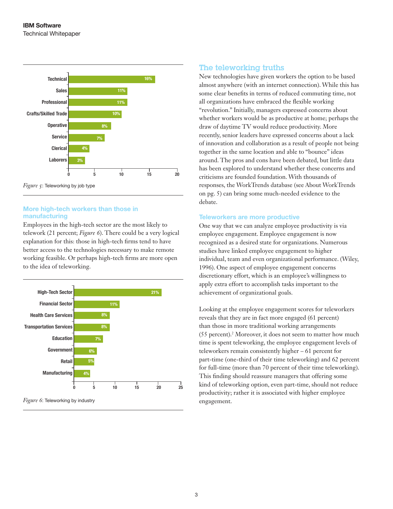

## More high-tech workers than those in manufacturing

Employees in the high-tech sector are the most likely to telework (21 percent; *Figure 6*). There could be a very logical explanation for this: those in high-tech firms tend to have better access to the technologies necessary to make remote working feasible. Or perhaps high-tech firms are more open to the idea of teleworking.



### The teleworking truths

New technologies have given workers the option to be based almost anywhere (with an internet connection). While this has some clear benefits in terms of reduced commuting time, not all organizations have embraced the flexible working "revolution." Initially, managers expressed concerns about whether workers would be as productive at home; perhaps the draw of daytime TV would reduce productivity. More recently, senior leaders have expressed concerns about a lack of innovation and collaboration as a result of people not being together in the same location and able to "bounce" ideas around. The pros and cons have been debated, but little data has been explored to understand whether these concerns and criticisms are founded foundation. With thousands of responses, the WorkTrends database (see About WorkTrends on pg. 5) can bring some much-needed evidence to the debate.

#### Teleworkers are more productive

One way that we can analyze employee productivity is via employee engagement. Employee engagement is now recognized as a desired state for organizations. Numerous studies have linked employee engagement to higher individual, team and even organizational performance. (Wiley, 1996). One aspect of employee engagement concerns discretionary effort, which is an employee's willingness to apply extra effort to accomplish tasks important to the achievement of organizational goals.

Looking at the employee engagement scores for teleworkers reveals that they are in fact more engaged (61 percent) than those in more traditional working arrangements (55 percent).2 Moreover, it does not seem to matter how much time is spent teleworking, the employee engagement levels of teleworkers remain consistently higher – 61 percent for part-time (one-third of their time teleworking) and 62 percent for full-time (more than 70 percent of their time teleworking). This finding should reassure managers that offering some kind of teleworking option, even part-time, should not reduce productivity; rather it is associated with higher employee engagement.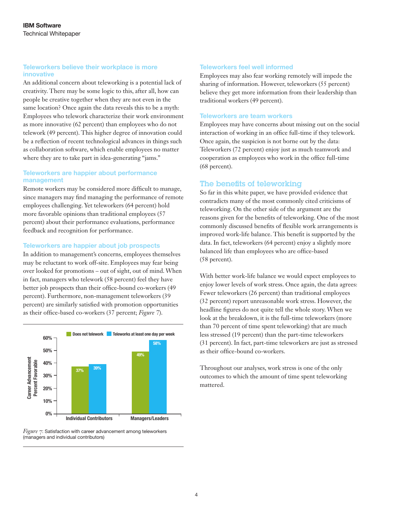#### Teleworkers believe their workplace is more innovative

An additional concern about teleworking is a potential lack of creativity. There may be some logic to this, after all, how can people be creative together when they are not even in the same location? Once again the data reveals this to be a myth: Employees who telework characterize their work environment as more innovative (62 percent) than employees who do not telework (49 percent). This higher degree of innovation could be a reflection of recent technological advances in things such as collaboration software, which enable employees no matter where they are to take part in idea-generating "jams."

#### Teleworkers are happier about performance management

Remote workers may be considered more difficult to manage, since managers may find managing the performance of remote employees challenging. Yet teleworkers (64 percent) hold more favorable opinions than traditional employees (57 percent) about their performance evaluations, performance feedback and recognition for performance.

#### Teleworkers are happier about job prospects

In addition to management's concerns, employees themselves may be reluctant to work off-site. Employees may fear being over looked for promotions – out of sight, out of mind. When in fact, managers who telework (58 percent) feel they have better job prospects than their office-bound co-workers (49 percent). Furthermore, non-management teleworkers (39 percent) are similarly satisfied with promotion opportunities as their office-based co-workers (37 percent; *Figure 7*).



*Figure 7*: Satisfaction with career advancement among teleworkers (managers and individual contributors)

#### Teleworkers feel well informed

Employees may also fear working remotely will impede the sharing of information. However, teleworkers (55 percent) believe they get more information from their leadership than traditional workers (49 percent).

#### Teleworkers are team workers

Employees may have concerns about missing out on the social interaction of working in an office full-time if they telework. Once again, the suspicion is not borne out by the data: Teleworkers (72 percent) enjoy just as much teamwork and cooperation as employees who work in the office full-time (68 percent).

## The benefits of teleworking

So far in this white paper, we have provided evidence that contradicts many of the most commonly cited criticisms of teleworking. On the other side of the argument are the reasons given for the benefits of teleworking. One of the most commonly discussed benefits of flexible work arrangements is improved work-life balance. This benefit is supported by the data. In fact, teleworkers (64 percent) enjoy a slightly more balanced life than employees who are office-based (58 percent).

With better work-life balance we would expect employees to enjoy lower levels of work stress. Once again, the data agrees: Fewer teleworkers (26 percent) than traditional employees (32 percent) report unreasonable work stress. However, the headline figures do not quite tell the whole story. When we look at the breakdown, it is the full-time teleworkers (more than 70 percent of time spent teleworking) that are much less stressed (19 percent) than the part-time teleworkers (31 percent). In fact, part-time teleworkers are just as stressed as their office-bound co-workers.

Throughout our analyses, work stress is one of the only outcomes to which the amount of time spent teleworking mattered.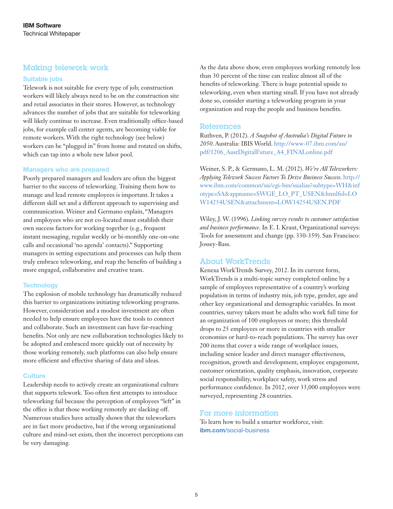# Making telework work

#### Suitable jobs

Telework is not suitable for every type of job; construction workers will likely always need to be on the construction site and retail associates in their stores. However, as technology advances the number of jobs that are suitable for teleworking will likely continue to increase. Even traditionally office-based jobs, for example call center agents, are becoming viable for remote workers. With the right technology (see below) workers can be "plugged in" from home and rotated on shifts, which can tap into a whole new labor pool.

#### Managers who are prepared

Poorly prepared managers and leaders are often the biggest barrier to the success of teleworking. Training them how to manage and lead remote employees is important. It takes a different skill set and a different approach to supervising and communication. Weiner and Germano explain, "Managers and employees who are not co-located must establish their own success factors for working together (e.g., frequent instant messaging, regular weekly or bi-monthly one-on-one calls and occasional 'no agenda' contacts)." Supporting managers in setting expectations and processes can help them truly embrace teleworking, and reap the benefits of building a more engaged, collaborative and creative team.

#### **Technology**

The explosion of mobile technology has dramatically reduced this barrier to organizations initiating teleworking programs. However, consideration and a modest investment are often needed to help ensure employees have the tools to connect and collaborate. Such an investment can have far-reaching benefits. Not only are new collaboration technologies likely to be adopted and embraced more quickly out of necessity by those working remotely, such platforms can also help ensure more efficient and effective sharing of data and ideas.

#### **Culture**

Leadership needs to actively create an organizational culture that supports telework. Too often first attempts to introduce teleworking fail because the perception of employees "left" in the office is that those working remotely are slacking off. Numerous studies have actually shown that the teleworkers are in fact more productive, but if the wrong organizational culture and mind-set exists, then the incorrect perceptions can be very damaging.

As the data above show, even employees working remotely less than 30 percent of the time can realize almost all of the benefits of teleworking. There is huge potential upside to teleworking, even when starting small. If you have not already done so, consider starting a teleworking program in your organization and reap the people and business benefits.

#### References

Ruthven, P. (2012). *A Snapshot of Australia's Digital Future to 2050*. Australia: IBIS World. http://www-07.ibm.com/au/ pdf/1206\_AustDigitalFuture\_A4\_FINALonline.pdf

Weiner, S. P., & Germano, L. M. (2012). *We're All Teleworkers: Applying Telework Success Factors To Drive Business Success*. http:// www.ibm.com/common/ssi/cgi-bin/ssialias?subtype=WH&inf otype=SA&appname=SWGE\_LO\_PT\_USEN&htmlfid=LO W14254USEN&attachment=LOW14254USEN.PDF

Wiley, J. W. (1996). *Linking survey results to customer satisfaction and business performance*. In E. I. Kraut, Organizational surveys: Tools for assessment and change (pp. 330-359). San Francisco: Jossey-Bass.

## About WorkTrends

Kenexa WorkTrends Survey, 2012. In its current form, WorkTrends is a multi-topic survey completed online by a sample of employees representative of a country's working population in terms of industry mix, job type, gender, age and other key organizational and demographic variables. In most countries, survey takers must be adults who work full time for an organization of 100 employees or more; this threshold drops to 25 employees or more in countries with smaller economies or hard-to-reach populations. The survey has over 200 items that cover a wide range of workplace issues, including senior leader and direct manager effectiveness, recognition, growth and development, employee engagement, customer orientation, quality emphasis, innovation, corporate social responsibility, workplace safety, work stress and performance confidence. In 2012, over 33,000 employees were surveyed, representing 28 countries.

## For more information

To learn how to build a smarter workforce, visit: ibm.com[/social-business](www.ibm.com/social-business)